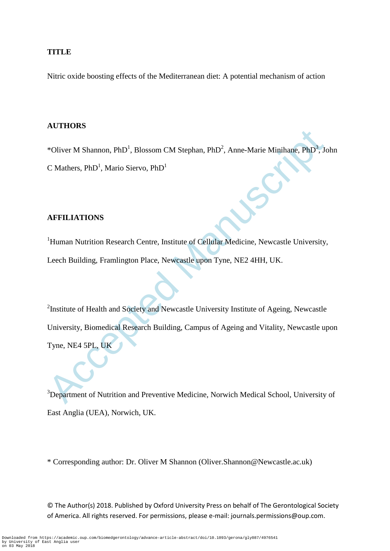## **TITLE**

Nitric oxide boosting effects of the Mediterranean diet: A potential mechanism of action

## **AUTHORS**

\*Oliver M Shannon, PhD<sup>1</sup>, Blossom CM Stephan, PhD<sup>2</sup>, Anne-Marie Minihane, PhD<sup>3</sup>, John C Mathers,  $PhD<sup>1</sup>$ , Mario Siervo,  $PhD<sup>1</sup>$ 

## **AFFILIATIONS**

<sup>1</sup>Human Nutrition Research Centre, Institute of Cellular Medicine, Newcastle University, Leech Building, Framlington Place, Newcastle upon Tyne, NE2 4HH, UK.

The Walters, PhD<sup>1</sup>, Blossom CM Stephan, PhD<sup>2</sup>, Anne-Marie Minihane, PhD<sup>3</sup>, J.<br>
C Mathers, PhD<sup>1</sup>, Mario Siervo, PhD<sup>1</sup><br>
AFFILIATIONS<br>
<sup>1</sup>Human Nutrition Research Centre, Institute of Cellular Medicine, Newcastle Univers <sup>2</sup>Institute of Health and Society and Newcastle University Institute of Ageing, Newcastle University, Biomedical Research Building, Campus of Ageing and Vitality, Newcastle upon Tyne, NE4 5PL, UK

<sup>3</sup>Department of Nutrition and Preventive Medicine, Norwich Medical School, University of East Anglia (UEA), Norwich, UK.

\* Corresponding author: Dr. Oliver M Shannon (Oliver.Shannon@Newcastle.ac.uk)

© The Author(s) 2018. Published by Oxford University Press on behalf of The Gerontological Society of America. All rights reserved. For permissions, please e-mail: journals.permissions@oup.com.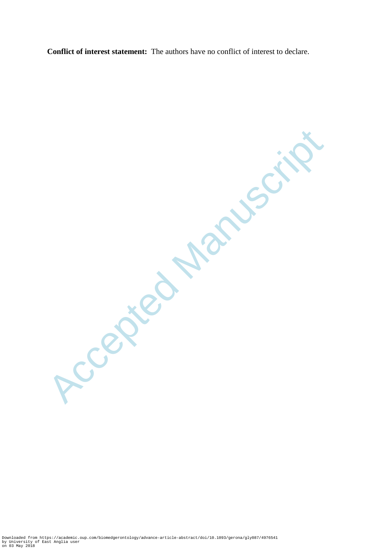**Conflict of interest statement:** The authors have no conflict of interest to declare.

Ccepted Manuscrit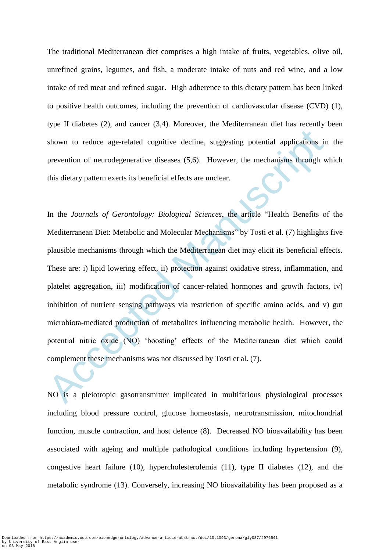The traditional Mediterranean diet comprises a high intake of fruits, vegetables, olive oil, unrefined grains, legumes, and fish, a moderate intake of nuts and red wine, and a low intake of red meat and refined sugar. High adherence to this dietary pattern has been linked to positive health outcomes, including the prevention of cardiovascular disease (CVD) (1), type II diabetes (2), and cancer (3,4). Moreover, the Mediterranean diet has recently been shown to reduce age-related cognitive decline, suggesting potential applications in the prevention of neurodegenerative diseases (5,6). However, the mechanisms through which this dietary pattern exerts its beneficial effects are unclear.

shown to reduce age-related cognitive decline, suggesting potential applications in<br>prevention of neurodegenerative diseases  $(5,6)$ . However, the mechanisms through w<br>this dietary pattern exerts its beneficial effects ar In the *Journals of Gerontology: Biological Sciences*, the article "Health Benefits of the Mediterranean Diet: Metabolic and Molecular Mechanisms" by Tosti et al. (7) highlights five plausible mechanisms through which the Mediterranean diet may elicit its beneficial effects. These are: i) lipid lowering effect, ii) protection against oxidative stress, inflammation, and platelet aggregation, iii) modification of cancer-related hormones and growth factors, iv) inhibition of nutrient sensing pathways via restriction of specific amino acids, and v) gut microbiota-mediated production of metabolites influencing metabolic health. However, the potential nitric oxide (NO) 'boosting' effects of the Mediterranean diet which could complement these mechanisms was not discussed by Tosti et al. (7).

NO is a pleiotropic gasotransmitter implicated in multifarious physiological processes including blood pressure control, glucose homeostasis, neurotransmission, mitochondrial function, muscle contraction, and host defence (8). Decreased NO bioavailability has been associated with ageing and multiple pathological conditions including hypertension (9), congestive heart failure (10), hypercholesterolemia (11), type II diabetes (12), and the metabolic syndrome (13). Conversely, increasing NO bioavailability has been proposed as a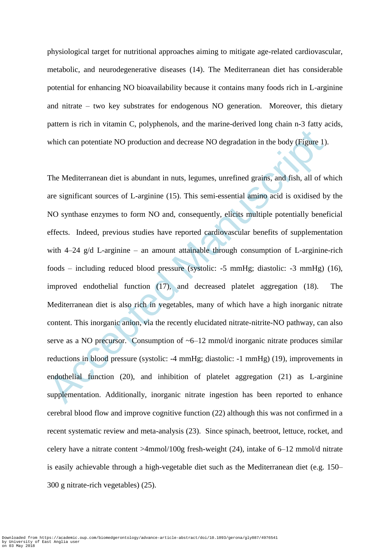physiological target for nutritional approaches aiming to mitigate age-related cardiovascular, metabolic, and neurodegenerative diseases (14). The Mediterranean diet has considerable potential for enhancing NO bioavailability because it contains many foods rich in L-arginine and nitrate – two key substrates for endogenous NO generation. Moreover, this dietary pattern is rich in vitamin C, polyphenols, and the marine-derived long chain n-3 fatty acids, which can potentiate NO production and decrease NO degradation in the body (Figure 1).

which can potentiate NO production and decrease NO degradation in the body (Figure 1)<br>The Mediterranean diet is abundant in nuts, legumes, unrefined grains, and fish, all of w<br>are significant sources of L-arginine (15). T The Mediterranean diet is abundant in nuts, legumes, unrefined grains, and fish, all of which are significant sources of L-arginine (15). This semi-essential amino acid is oxidised by the NO synthase enzymes to form NO and, consequently, elicits multiple potentially beneficial effects. Indeed, previous studies have reported cardiovascular benefits of supplementation with 4–24 g/d L-arginine – an amount attainable through consumption of L-arginine-rich foods – including reduced blood pressure (systolic: -5 mmHg; diastolic: -3 mmHg) (16), improved endothelial function (17), and decreased platelet aggregation (18). The Mediterranean diet is also rich in vegetables, many of which have a high inorganic nitrate content. This inorganic anion, via the recently elucidated nitrate-nitrite-NO pathway, can also serve as a NO precursor. Consumption of  $\sim 6-12$  mmol/d inorganic nitrate produces similar reductions in blood pressure (systolic: -4 mmHg; diastolic: -1 mmHg) (19), improvements in endothelial function (20), and inhibition of platelet aggregation (21) as L-arginine supplementation. Additionally, inorganic nitrate ingestion has been reported to enhance cerebral blood flow and improve cognitive function (22) although this was not confirmed in a recent systematic review and meta-analysis (23). Since spinach, beetroot, lettuce, rocket, and celery have a nitrate content >4mmol/100g fresh-weight (24), intake of 6–12 mmol/d nitrate is easily achievable through a high-vegetable diet such as the Mediterranean diet (e.g. 150– 300 g nitrate-rich vegetables) (25).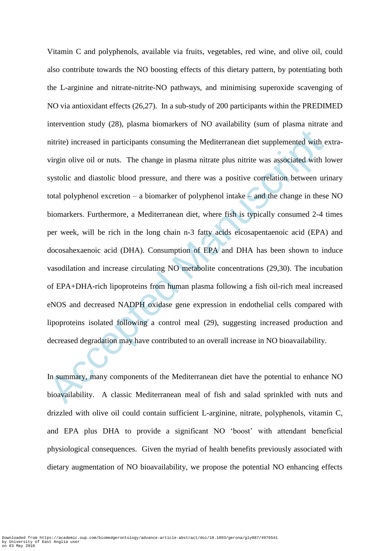nitrite) increased in participants consuming the Mediterranean diet supplemented with e<br>virgin olive oil or nuts. The change in plasma nitrate plus nitrite was associated with l<br>systolic and diastolic blood pressure, and t Vitamin C and polyphenols, available via fruits, vegetables, red wine, and olive oil, could also contribute towards the NO boosting effects of this dietary pattern, by potentiating both the L-arginine and nitrate-nitrite-NO pathways, and minimising superoxide scavenging of NO via antioxidant effects (26,27). In a sub-study of 200 participants within the PREDIMED intervention study (28), plasma biomarkers of NO availability (sum of plasma nitrate and nitrite) increased in participants consuming the Mediterranean diet supplemented with extravirgin olive oil or nuts. The change in plasma nitrate plus nitrite was associated with lower systolic and diastolic blood pressure, and there was a positive correlation between urinary total polyphenol excretion – a biomarker of polyphenol intake – and the change in these NO biomarkers. Furthermore, a Mediterranean diet, where fish is typically consumed 2-4 times per week, will be rich in the long chain n-3 fatty acids eicosapentaenoic acid (EPA) and docosahexaenoic acid (DHA). Consumption of EPA and DHA has been shown to induce vasodilation and increase circulating NO metabolite concentrations (29,30). The incubation of EPA+DHA-rich lipoproteins from human plasma following a fish oil-rich meal increased eNOS and decreased NADPH oxidase gene expression in endothelial cells compared with lipoproteins isolated following a control meal (29), suggesting increased production and decreased degradation may have contributed to an overall increase in NO bioavailability.

In summary, many components of the Mediterranean diet have the potential to enhance NO bioavailability. A classic Mediterranean meal of fish and salad sprinkled with nuts and drizzled with olive oil could contain sufficient L-arginine, nitrate, polyphenols, vitamin C, and EPA plus DHA to provide a significant NO 'boost' with attendant beneficial physiological consequences. Given the myriad of health benefits previously associated with dietary augmentation of NO bioavailability, we propose the potential NO enhancing effects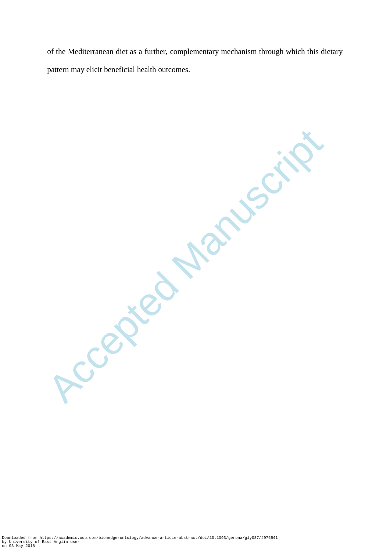of the Mediterranean diet as a further, complementary mechanism through which this dietary pattern may elicit beneficial health outcomes.

Accepted Manuscrit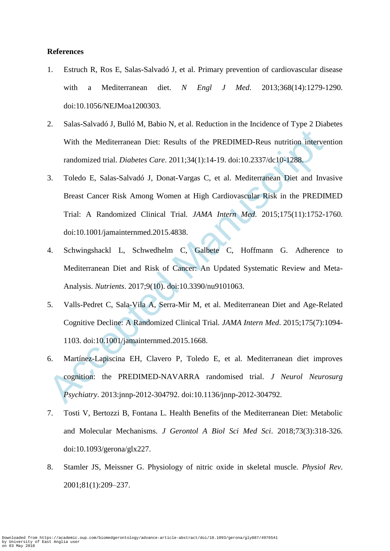## **References**

- 1. Estruch R, Ros E, Salas-Salvadó J, et al. Primary prevention of cardiovascular disease with a Mediterranean diet. *N Engl J Med*. 2013;368(14):1279-1290. doi:10.1056/NEJMoa1200303.
- 2. Salas-Salvadó J, Bulló M, Babio N, et al. Reduction in the Incidence of Type 2 Diabetes With the Mediterranean Diet: Results of the PREDIMED-Reus nutrition intervention randomized trial. *Diabetes Care*. 2011;34(1):14-19. doi:10.2337/dc10-1288.
- With the Mediterranean Diet: Results of the PREDIMED-Reus nutrition interversion interversion and mixed manuscription and the median Dieters Care, 2011;34(1):14-19, doi:10.2337/de10-1288,<br>3. Toledo E, Salas-Salvadó J, Don 3. Toledo E, Salas-Salvadó J, Donat-Vargas C, et al. Mediterranean Diet and Invasive Breast Cancer Risk Among Women at High Cardiovascular Risk in the PREDIMED Trial: A Randomized Clinical Trial. *JAMA Intern Med*. 2015;175(11):1752-1760. doi:10.1001/jamainternmed.2015.4838.
- 4. Schwingshackl L, Schwedhelm C, Galbete C, Hoffmann G. Adherence to Mediterranean Diet and Risk of Cancer: An Updated Systematic Review and Meta-Analysis. *Nutrients*. 2017;9(10). doi:10.3390/nu9101063.
- 5. Valls-Pedret C, Sala-Vila A, Serra-Mir M, et al. Mediterranean Diet and Age-Related Cognitive Decline: A Randomized Clinical Trial. *JAMA Intern Med*. 2015;175(7):1094- 1103. doi:10.1001/jamainternmed.2015.1668.
- 6. Martínez-Lapiscina EH, Clavero P, Toledo E, et al. Mediterranean diet improves cognition: the PREDIMED-NAVARRA randomised trial. *J Neurol Neurosurg Psychiatry*. 2013:jnnp-2012-304792. doi:10.1136/jnnp-2012-304792.
- 7. Tosti V, Bertozzi B, Fontana L. Health Benefits of the Mediterranean Diet: Metabolic and Molecular Mechanisms. *J Gerontol A Biol Sci Med Sci*. 2018;73(3):318-326. doi:10.1093/gerona/glx227.
- 8. Stamler JS, Meissner G. Physiology of nitric oxide in skeletal muscle. *Physiol Rev*. 2001;81(1):209–237.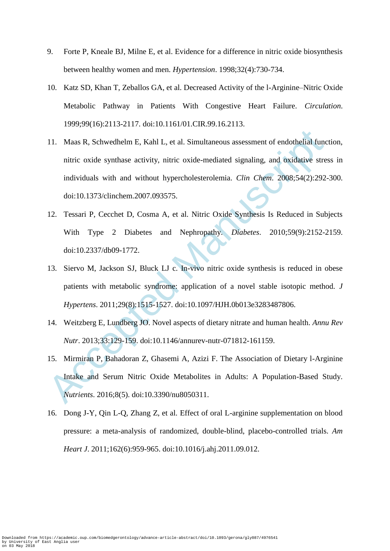- 9. Forte P, Kneale BJ, Milne E, et al. Evidence for a difference in nitric oxide biosynthesis between healthy women and men. *Hypertension*. 1998;32(4):730-734.
- 10. Katz SD, Khan T, Zeballos GA, et al. Decreased Activity of the l-Arginine–Nitric Oxide Metabolic Pathway in Patients With Congestive Heart Failure. *Circulation*. 1999;99(16):2113-2117. doi:10.1161/01.CIR.99.16.2113.
- 11. Maas R, Schwedhelm E, Kahl L, et al. Simultaneous assessment of endothelial funces<br>
intric oxide synthase activity, nitric oxide-mediated signaling, and oxidative stre<br>
individuals with and without hypercholesterolemi 11. Maas R, Schwedhelm E, Kahl L, et al. Simultaneous assessment of endothelial function, nitric oxide synthase activity, nitric oxide-mediated signaling, and oxidative stress in individuals with and without hypercholesterolemia. *Clin Chem*. 2008;54(2):292-300. doi:10.1373/clinchem.2007.093575.
- 12. Tessari P, Cecchet D, Cosma A, et al. Nitric Oxide Synthesis Is Reduced in Subjects With Type 2 Diabetes and Nephropathy. *Diabetes*. 2010;59(9):2152-2159. doi:10.2337/db09-1772.
- 13. Siervo M, Jackson SJ, Bluck LJ c. In-vivo nitric oxide synthesis is reduced in obese patients with metabolic syndrome: application of a novel stable isotopic method. *J Hypertens*. 2011;29(8):1515-1527. doi:10.1097/HJH.0b013e3283487806.
- 14. Weitzberg E, Lundberg JO. Novel aspects of dietary nitrate and human health. *Annu Rev Nutr*. 2013;33:129-159. doi:10.1146/annurev-nutr-071812-161159.
- 15. Mirmiran P, Bahadoran Z, Ghasemi A, Azizi F. The Association of Dietary l-Arginine Intake and Serum Nitric Oxide Metabolites in Adults: A Population-Based Study. *Nutrients*. 2016;8(5). doi:10.3390/nu8050311.
- 16. Dong J-Y, Qin L-Q, Zhang Z, et al. Effect of oral L-arginine supplementation on blood pressure: a meta-analysis of randomized, double-blind, placebo-controlled trials. *Am Heart J*. 2011;162(6):959-965. doi:10.1016/j.ahj.2011.09.012.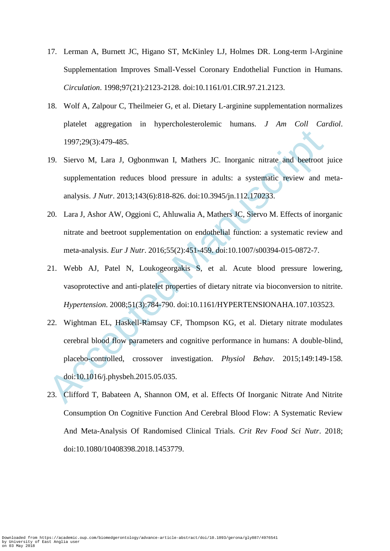- 17. Lerman A, Burnett JC, Higano ST, McKinley LJ, Holmes DR. Long-term l-Arginine Supplementation Improves Small-Vessel Coronary Endothelial Function in Humans. *Circulation*. 1998;97(21):2123-2128. doi:10.1161/01.CIR.97.21.2123.
- 18. Wolf A, Zalpour C, Theilmeier G, et al. Dietary L-arginine supplementation normalizes platelet aggregation in hypercholesterolemic humans. *J Am Coll Cardiol*. 1997;29(3):479-485.
- 19. Siervo M, Lara J, Ogbonmwan I, Mathers JC. Inorganic nitrate and beetroot juice supplementation reduces blood pressure in adults: a systematic review and metaanalysis. *J Nutr*. 2013;143(6):818-826. doi:10.3945/jn.112.170233.
- 20. Lara J, Ashor AW, Oggioni C, Ahluwalia A, Mathers JC, Siervo M. Effects of inorganic nitrate and beetroot supplementation on endothelial function: a systematic review and meta-analysis. *Eur J Nutr*. 2016;55(2):451-459. doi:10.1007/s00394-015-0872-7.
- 21. Webb AJ, Patel N, Loukogeorgakis S, et al. Acute blood pressure lowering, vasoprotective and anti-platelet properties of dietary nitrate via bioconversion to nitrite. *Hypertension*. 2008;51(3):784-790. doi:10.1161/HYPERTENSIONAHA.107.103523.
- 1997;29(3):479-485.<br>
19. Siervo M, Lara J, Ogbonnwan I, Mathers JC. Inorganic nitrate and beetroot<br>
supplementation reduces blood pressure in adults: a systematic review and r<br>
analysis. *J Nutr.* 2013;143(6):818-826. doi 22. Wightman EL, Haskell-Ramsay CF, Thompson KG, et al. Dietary nitrate modulates cerebral blood flow parameters and cognitive performance in humans: A double-blind, placebo-controlled, crossover investigation. *Physiol Behav*. 2015;149:149-158. doi:10.1016/j.physbeh.2015.05.035.
- 23. Clifford T, Babateen A, Shannon OM, et al. Effects Of Inorganic Nitrate And Nitrite Consumption On Cognitive Function And Cerebral Blood Flow: A Systematic Review And Meta-Analysis Of Randomised Clinical Trials. *Crit Rev Food Sci Nutr*. 2018; doi:10.1080/10408398.2018.1453779.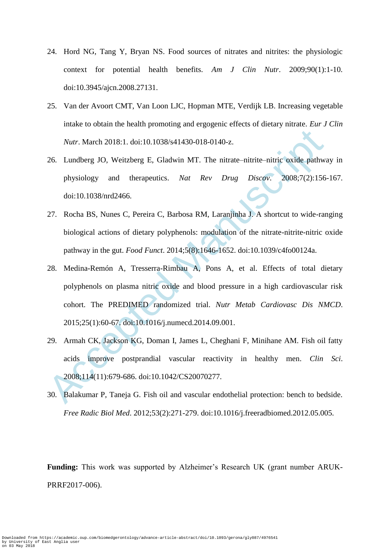- 24. Hord NG, Tang Y, Bryan NS. Food sources of nitrates and nitrites: the physiologic context for potential health benefits. *Am J Clin Nutr*. 2009;90(1):1-10. doi:10.3945/ajcn.2008.27131.
- 25. Van der Avoort CMT, Van Loon LJC, Hopman MTE, Verdijk LB. Increasing vegetable intake to obtain the health promoting and ergogenic effects of dietary nitrate. *Eur J Clin Nutr*. March 2018:1. doi:10.1038/s41430-018-0140-z.
- 26. Lundberg JO, Weitzberg E, Gladwin MT. The nitrate–nitrite–nitric oxide pathway in physiology and therapeutics. *Nat Rev Drug Discov*. 2008;7(2):156-167. doi:10.1038/nrd2466.
- 27. Rocha BS, Nunes C, Pereira C, Barbosa RM, Laranjinha J. A shortcut to wide-ranging biological actions of dietary polyphenols: modulation of the nitrate-nitrite-nitric oxide pathway in the gut. *Food Funct*. 2014;5(8):1646-1652. doi:10.1039/c4fo00124a.
- Nutr. March 2018:1. doi:10.1038/s41430-018-0140-z.<br>
26. Lundberg JO, Weitzberg E, Gladwin MT. The nitrate-nitrite-nitric oxide pathwa<br>
physiology and therapeutics. Nat Rev Drug Discov. 2008;7(2):156<br>
doi:10.1038/nrd2466.<br> 28. Medina-Remón A, Tresserra-Rimbau A, Pons A, et al. Effects of total dietary polyphenols on plasma nitric oxide and blood pressure in a high cardiovascular risk cohort. The PREDIMED randomized trial. *Nutr Metab Cardiovasc Dis NMCD*. 2015;25(1):60-67. doi:10.1016/j.numecd.2014.09.001.
- 29. Armah CK, Jackson KG, Doman I, James L, Cheghani F, Minihane AM. Fish oil fatty acids improve postprandial vascular reactivity in healthy men. *Clin Sci*. 2008;114(11):679-686. doi:10.1042/CS20070277.
- 30. Balakumar P, Taneja G. Fish oil and vascular endothelial protection: bench to bedside. *Free Radic Biol Med*. 2012;53(2):271-279. doi:10.1016/j.freeradbiomed.2012.05.005.

**Funding:** This work was supported by Alzheimer's Research UK (grant number ARUK-PRRF2017-006).